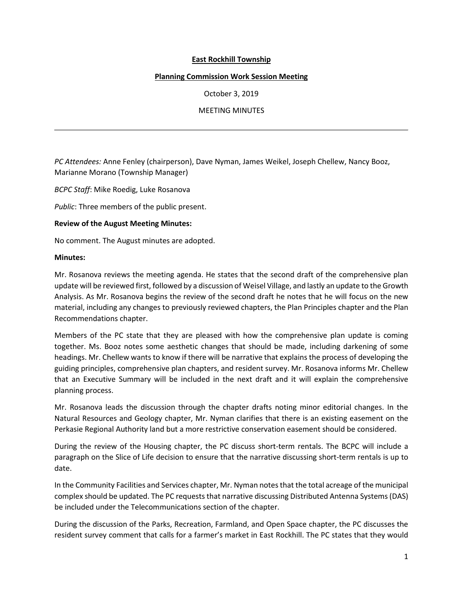# **East Rockhill Township**

## **Planning Commission Work Session Meeting**

October 3, 2019

## MEETING MINUTES

*PC Attendees:* Anne Fenley (chairperson), Dave Nyman, James Weikel, Joseph Chellew, Nancy Booz, Marianne Morano (Township Manager)

*BCPC Staff*: Mike Roedig, Luke Rosanova

*Public*: Three members of the public present.

### **Review of the August Meeting Minutes:**

No comment. The August minutes are adopted.

### **Minutes:**

Mr. Rosanova reviews the meeting agenda. He states that the second draft of the comprehensive plan update will be reviewed first, followed by a discussion of Weisel Village, and lastly an update to the Growth Analysis. As Mr. Rosanova begins the review of the second draft he notes that he will focus on the new material, including any changes to previously reviewed chapters, the Plan Principles chapter and the Plan Recommendations chapter.

Members of the PC state that they are pleased with how the comprehensive plan update is coming together. Ms. Booz notes some aesthetic changes that should be made, including darkening of some headings. Mr. Chellew wants to know if there will be narrative that explains the process of developing the guiding principles, comprehensive plan chapters, and resident survey. Mr. Rosanova informs Mr. Chellew that an Executive Summary will be included in the next draft and it will explain the comprehensive planning process.

Mr. Rosanova leads the discussion through the chapter drafts noting minor editorial changes. In the Natural Resources and Geology chapter, Mr. Nyman clarifies that there is an existing easement on the Perkasie Regional Authority land but a more restrictive conservation easement should be considered.

During the review of the Housing chapter, the PC discuss short-term rentals. The BCPC will include a paragraph on the Slice of Life decision to ensure that the narrative discussing short-term rentals is up to date.

In the Community Facilities and Services chapter, Mr. Nyman notes that the total acreage of the municipal complex should be updated. The PC requests that narrative discussing Distributed Antenna Systems (DAS) be included under the Telecommunications section of the chapter.

During the discussion of the Parks, Recreation, Farmland, and Open Space chapter, the PC discusses the resident survey comment that calls for a farmer's market in East Rockhill. The PC states that they would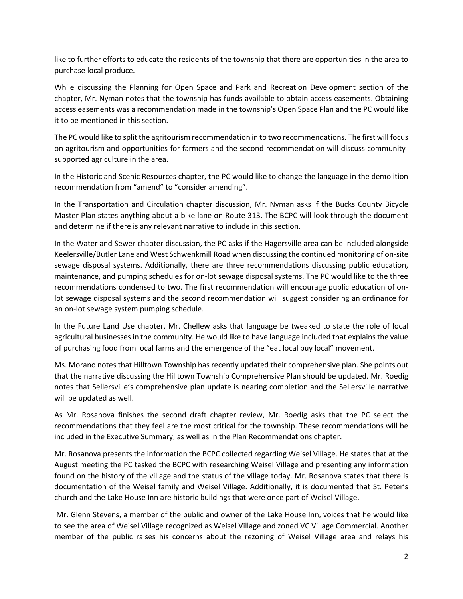like to further efforts to educate the residents of the township that there are opportunities in the area to purchase local produce.

While discussing the Planning for Open Space and Park and Recreation Development section of the chapter, Mr. Nyman notes that the township has funds available to obtain access easements. Obtaining access easements was a recommendation made in the township's Open Space Plan and the PC would like it to be mentioned in this section.

The PC would like to split the agritourism recommendation in to two recommendations. The first will focus on agritourism and opportunities for farmers and the second recommendation will discuss communitysupported agriculture in the area.

In the Historic and Scenic Resources chapter, the PC would like to change the language in the demolition recommendation from "amend" to "consider amending".

In the Transportation and Circulation chapter discussion, Mr. Nyman asks if the Bucks County Bicycle Master Plan states anything about a bike lane on Route 313. The BCPC will look through the document and determine if there is any relevant narrative to include in this section.

In the Water and Sewer chapter discussion, the PC asks if the Hagersville area can be included alongside Keelersville/Butler Lane and West Schwenkmill Road when discussing the continued monitoring of on-site sewage disposal systems. Additionally, there are three recommendations discussing public education, maintenance, and pumping schedules for on-lot sewage disposal systems. The PC would like to the three recommendations condensed to two. The first recommendation will encourage public education of onlot sewage disposal systems and the second recommendation will suggest considering an ordinance for an on-lot sewage system pumping schedule.

In the Future Land Use chapter, Mr. Chellew asks that language be tweaked to state the role of local agricultural businesses in the community. He would like to have language included that explains the value of purchasing food from local farms and the emergence of the "eat local buy local" movement.

Ms. Morano notes that Hilltown Township has recently updated their comprehensive plan. She points out that the narrative discussing the Hilltown Township Comprehensive Plan should be updated. Mr. Roedig notes that Sellersville's comprehensive plan update is nearing completion and the Sellersville narrative will be updated as well.

As Mr. Rosanova finishes the second draft chapter review, Mr. Roedig asks that the PC select the recommendations that they feel are the most critical for the township. These recommendations will be included in the Executive Summary, as well as in the Plan Recommendations chapter.

Mr. Rosanova presents the information the BCPC collected regarding Weisel Village. He states that at the August meeting the PC tasked the BCPC with researching Weisel Village and presenting any information found on the history of the village and the status of the village today. Mr. Rosanova states that there is documentation of the Weisel family and Weisel Village. Additionally, it is documented that St. Peter's church and the Lake House Inn are historic buildings that were once part of Weisel Village.

Mr. Glenn Stevens, a member of the public and owner of the Lake House Inn, voices that he would like to see the area of Weisel Village recognized as Weisel Village and zoned VC Village Commercial. Another member of the public raises his concerns about the rezoning of Weisel Village area and relays his